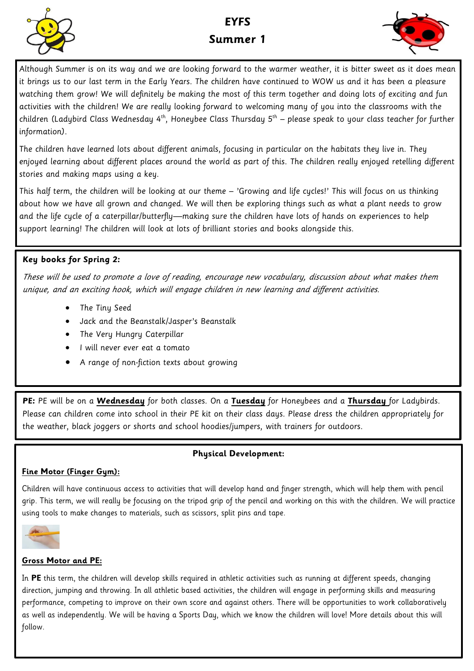

# **EYFS Summer 1**



Although Summer is on its way and we are looking forward to the warmer weather, it is bitter sweet as it does mean it brings us to our last term in the Early Years. The children have continued to WOW us and it has been a pleasure watching them grow! We will definitely be making the most of this term together and doing lots of exciting and fun activities with the children! We are really looking forward to welcoming many of you into the classrooms with the children (Ladybird Class Wednesday 4<sup>th</sup>, Honeybee Class Thursday 5<sup>th</sup> – please speak to your class teacher for further information).

The children have learned lots about different animals, focusing in particular on the habitats they live in. They enjoyed learning about different places around the world as part of this. The children really enjoyed retelling different stories and making maps using a key.

This half term, the children will be looking at our theme – 'Growing and life cycles!' This will focus on us thinking about how we have all grown and changed. We will then be exploring things such as what a plant needs to grow and the life cycle of a caterpillar/butterfly—making sure the children have lots of hands on experiences to help support learning! The children will look at lots of brilliant stories and books alongside this.

### **Key books for Spring 2:**

These will be used to promote a love of reading, encourage new vocabulary, discussion about what makes them unique, and an exciting hook, which will engage children in new learning and different activities.

- The Tiny Seed
- Jack and the Beanstalk/Jasper's Beanstalk
- The Very Hungry Caterpillar
- I will never ever eat a tomato
- A range of non-fiction texts about growing

**PE:** PE will be on a **Wednesday** for both classes. On a **Tuesday** for Honeybees and a **Thursday** for Ladybirds. Please can children come into school in their PE kit on their class days. Please dress the children appropriately for the weather, black joggers or shorts and school hoodies/jumpers, with trainers for outdoors.

#### **Physical Development:**

#### **Fine Motor (Finger Gym):**

Children will have continuous access to activities that will develop hand and finger strength, which will help them with pencil grip. This term, we will really be focusing on the tripod grip of the pencil and working on this with the children. We will practice using tools to make changes to materials, such as scissors, split pins and tape.



#### **Gross Motor and PE:**

In **PE** this term, the children will develop skills required in athletic activities such as running at different speeds, changing direction, jumping and throwing. In all athletic based activities, the children will engage in performing skills and measuring performance, competing to improve on their own score and against others. There will be opportunities to work collaboratively as well as independently. We will be having a Sports Day, which we know the children will love! More details about this will follow.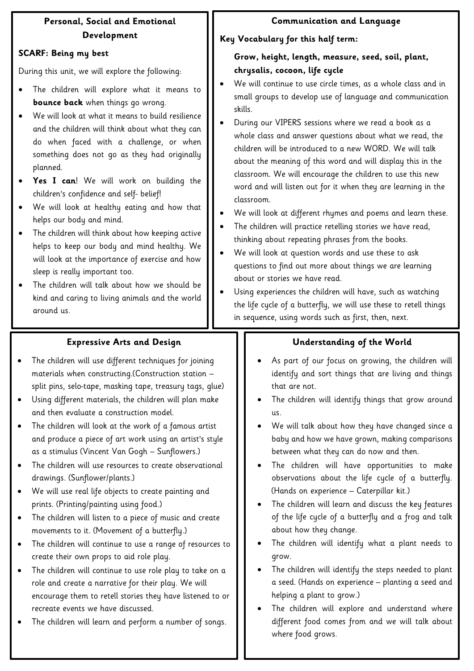## **Personal, Social and Emotional Development**

### **SCARF: Being my best**

During this unit, we will explore the following:

- The children will explore what it means to **bounce back** when things go wrong.
- We will look at what it means to build resilience and the children will think about what they can do when faced with a challenge, or when something does not go as they had originally planned.
- **Yes I can**! We will work on building the children's confidence and self- belief!
- We will look at healthy eating and how that helps our body and mind.
- The children will think about how keeping active helps to keep our body and mind healthy. We will look at the importance of exercise and how sleep is really important too.
- The children will talk about how we should be kind and caring to living animals and the world around us.

## **Communication and Language**

## **Key Vocabulary for this half term:**

## **Grow, height, length, measure, seed, soil, plant, chrysalis, cocoon, life cycle**

- We will continue to use circle times, as a whole class and in small groups to develop use of language and communication skills.
- During our VIPERS sessions where we read a book as a whole class and answer questions about what we read, the children will be introduced to a new WORD. We will talk about the meaning of this word and will display this in the classroom. We will encourage the children to use this new word and will listen out for it when they are learning in the classroom.
- We will look at different rhymes and poems and learn these.
- The children will practice retelling stories we have read, thinking about repeating phrases from the books.
- We will look at question words and use these to ask questions to find out more about things we are learning about or stories we have read.
- Using experiences the children will have, such as watching the life cycle of a butterfly, we will use these to retell things in sequence, using words such as first, then, next.

## **Expressive Arts and Design**

- The children will use different techniques for joining materials when constructing.(Construction station – split pins, selo-tape, masking tape, treasury tags, glue)
- Using different materials, the children will plan make and then evaluate a construction model.
- The children will look at the work of a famous artist and produce a piece of art work using an artist's style as a stimulus (Vincent Van Gogh – Sunflowers.)
- The children will use resources to create observational drawings. (Sunflower/plants.)
- We will use real life objects to create painting and prints. (Printing/painting using food.)
- The children will listen to a piece of music and create movements to it. (Movement of a butterfly.)
- The children will continue to use a range of resources to create their own props to aid role play.
- The children will continue to use role play to take on a role and create a narrative for their play. We will encourage them to retell stories they have listened to or recreate events we have discussed.
- The children will learn and perform a number of songs.

## **Understanding of the World**

- As part of our focus on growing, the children will identify and sort things that are living and things that are not.
- The children will identify things that grow around us.
- We will talk about how they have changed since a baby and how we have grown, making comparisons between what they can do now and then.
- The children will have opportunities to make observations about the life cycle of a butterfly. (Hands on experience – Caterpillar kit.)
- The children will learn and discuss the key features of the life cycle of a butterfly and a frog and talk about how they change.
- The children will identify what a plant needs to grow.
- The children will identify the steps needed to plant a seed. (Hands on experience – planting a seed and helping a plant to grow.)
- The children will explore and understand where different food comes from and we will talk about where food grows.